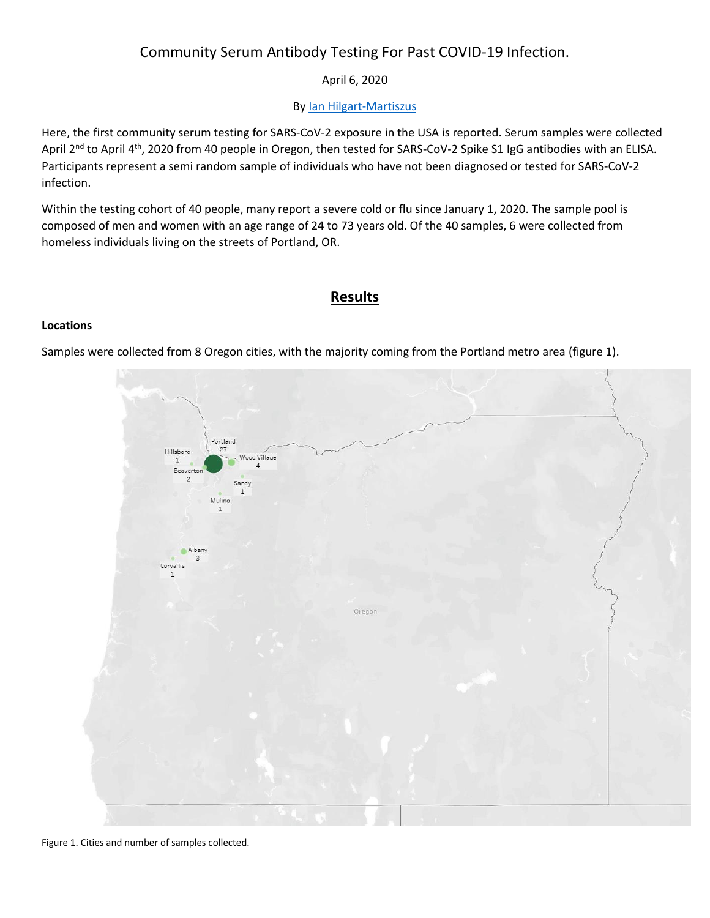# Community Serum Antibody Testing For Past COVID-19 Infection.

### April 6, 2020

### By [Ian Hilgart-Martiszus](https://www.linkedin.com/in/ian-hilgart-070a1851/)

Here, the first community serum testing for SARS-CoV-2 exposure in the USA is reported. Serum samples were collected April 2<sup>nd</sup> to April 4<sup>th</sup>, 2020 from 40 people in Oregon, then tested for SARS-CoV-2 Spike S1 IgG antibodies with an ELISA. Participants represent a semi random sample of individuals who have not been diagnosed or tested for SARS-CoV-2 infection.

Within the testing cohort of 40 people, many report a severe cold or flu since January 1, 2020. The sample pool is composed of men and women with an age range of 24 to 73 years old. Of the 40 samples, 6 were collected from homeless individuals living on the streets of Portland, OR.

### **Results**

#### **Locations**

Samples were collected from 8 Oregon cities, with the majority coming from the Portland metro area (figure 1).



Figure 1. Cities and number of samples collected.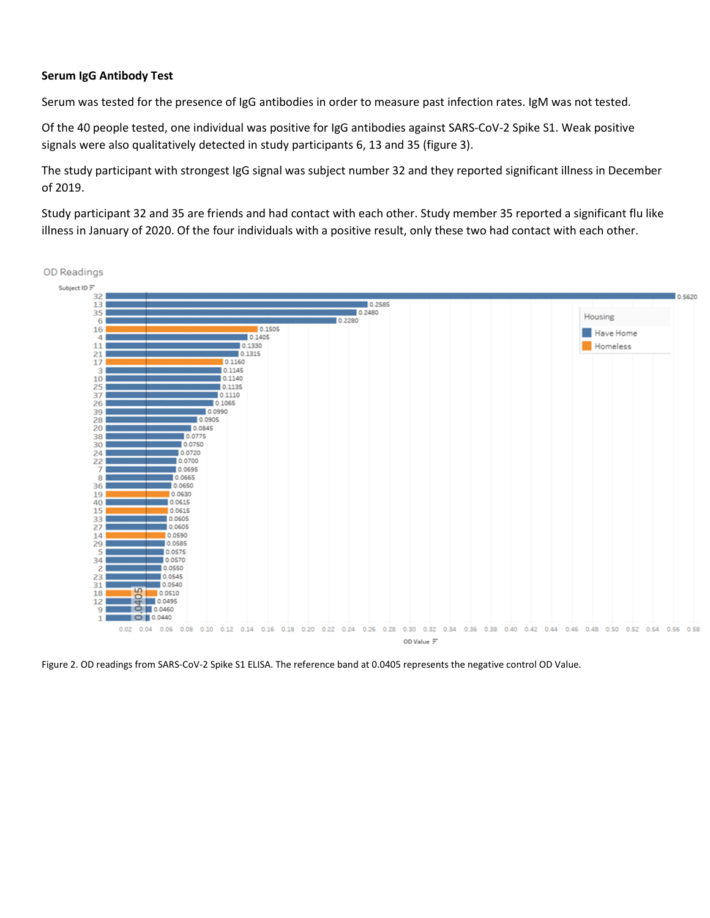#### **Serum IgG Antibody Test**

Serum was tested for the presence of IgG antibodies in order to measure past infection rates. IgM was not tested.

Of the 40 people tested, one individual was positive for IgG antibodies against SARS-CoV-2 Spike S1. Weak positive signals were also qualitatively detected in study participants 6, 13 and 35 (figure 3).

The study participant with strongest IgG signal was subject number 32 and they reported significant illness in December of 2019.

Study participant 32 and 35 are friends and had contact with each other. Study member 35 reported a significant flu like illness in January of 2020. Of the four individuals with a positive result, only these two had contact with each other.



Figure 2. OD readings from SARS-CoV-2 Spike S1 ELISA. The reference band at 0.0405 represents the negative control OD Value.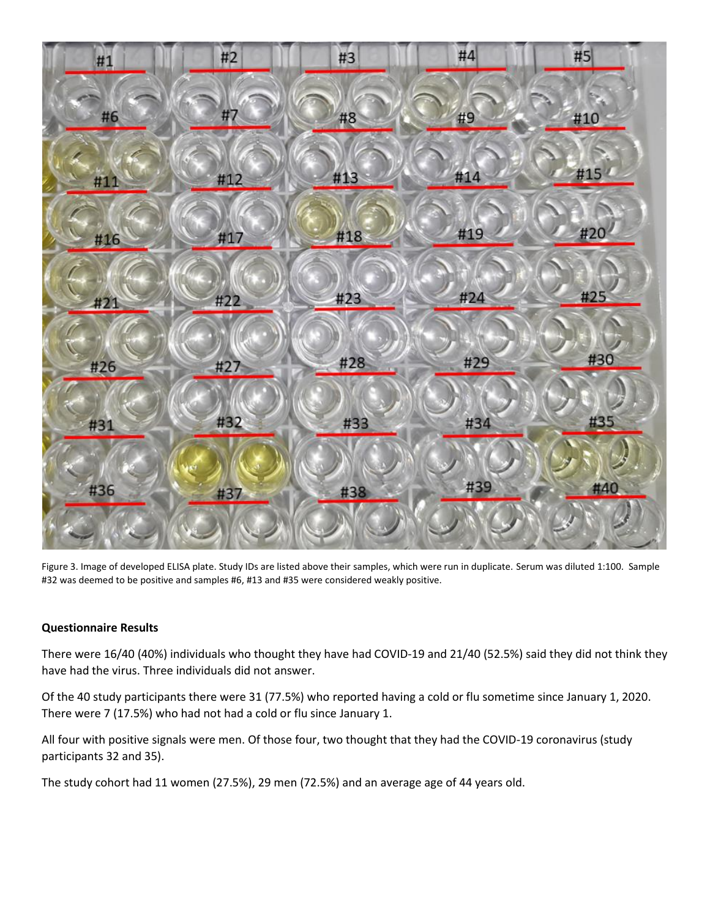

Figure 3. Image of developed ELISA plate. Study IDs are listed above their samples, which were run in duplicate. Serum was diluted 1:100. Sample #32 was deemed to be positive and samples #6, #13 and #35 were considered weakly positive.

#### **Questionnaire Results**

There were 16/40 (40%) individuals who thought they have had COVID-19 and 21/40 (52.5%) said they did not think they have had the virus. Three individuals did not answer.

Of the 40 study participants there were 31 (77.5%) who reported having a cold or flu sometime since January 1, 2020. There were 7 (17.5%) who had not had a cold or flu since January 1.

All four with positive signals were men. Of those four, two thought that they had the COVID-19 coronavirus (study participants 32 and 35).

The study cohort had 11 women (27.5%), 29 men (72.5%) and an average age of 44 years old.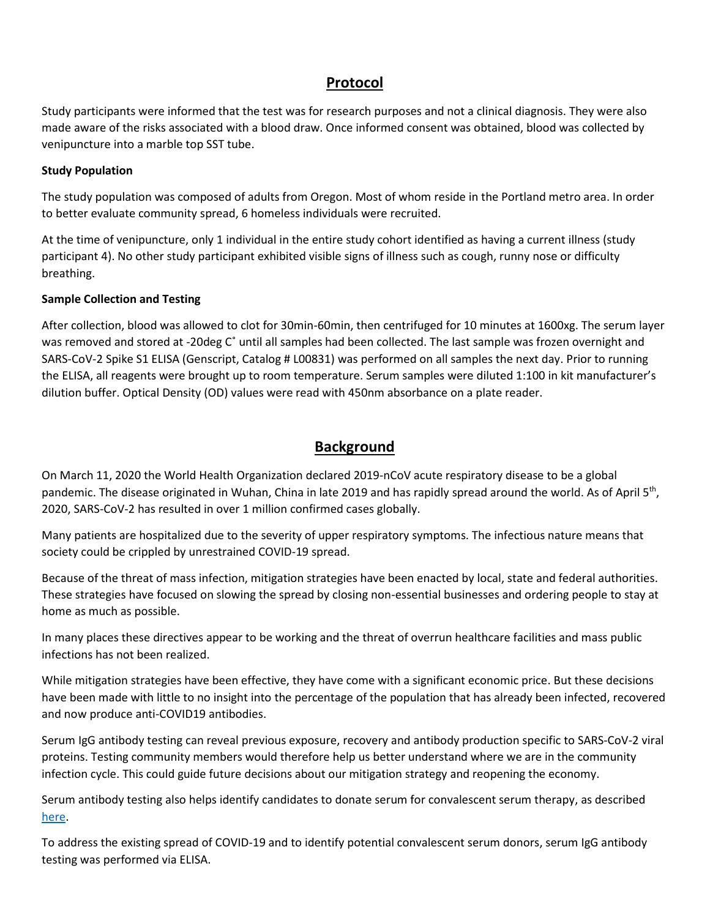# **Protocol**

Study participants were informed that the test was for research purposes and not a clinical diagnosis. They were also made aware of the risks associated with a blood draw. Once informed consent was obtained, blood was collected by venipuncture into a marble top SST tube.

#### **Study Population**

The study population was composed of adults from Oregon. Most of whom reside in the Portland metro area. In order to better evaluate community spread, 6 homeless individuals were recruited.

At the time of venipuncture, only 1 individual in the entire study cohort identified as having a current illness (study participant 4). No other study participant exhibited visible signs of illness such as cough, runny nose or difficulty breathing.

#### **Sample Collection and Testing**

After collection, blood was allowed to clot for 30min-60min, then centrifuged for 10 minutes at 1600xg. The serum layer was removed and stored at -20deg C˚ until all samples had been collected. The last sample was frozen overnight and SARS-CoV-2 Spike S1 ELISA (Genscript, Catalog # L00831) was performed on all samples the next day. Prior to running the ELISA, all reagents were brought up to room temperature. Serum samples were diluted 1:100 in kit manufacturer's dilution buffer. Optical Density (OD) values were read with 450nm absorbance on a plate reader.

### **Background**

On March 11, 2020 the World Health Organization declared 2019-nCoV acute respiratory disease to be a global pandemic. The disease originated in Wuhan, China in late 2019 and has rapidly spread around the world. As of April 5<sup>th</sup>, 2020, SARS-CoV-2 has resulted in over 1 million confirmed cases globally.

Many patients are hospitalized due to the severity of upper respiratory symptoms. The infectious nature means that society could be crippled by unrestrained COVID-19 spread.

Because of the threat of mass infection, mitigation strategies have been enacted by local, state and federal authorities. These strategies have focused on slowing the spread by closing non-essential businesses and ordering people to stay at home as much as possible.

In many places these directives appear to be working and the threat of overrun healthcare facilities and mass public infections has not been realized.

While mitigation strategies have been effective, they have come with a significant economic price. But these decisions have been made with little to no insight into the percentage of the population that has already been infected, recovered and now produce anti-COVID19 antibodies.

Serum IgG antibody testing can reveal previous exposure, recovery and antibody production specific to SARS-CoV-2 viral proteins. Testing community members would therefore help us better understand where we are in the community infection cycle. This could guide future decisions about our mitigation strategy and reopening the economy.

Serum antibody testing also helps identify candidates to donate serum for convalescent serum therapy, as described [here.](https://www.scribd.com/document/452072267/Convalescent-Serum-for-the-Treatment-of-Critical-Coronavirus-Patients)

To address the existing spread of COVID-19 and to identify potential convalescent serum donors, serum IgG antibody testing was performed via ELISA.